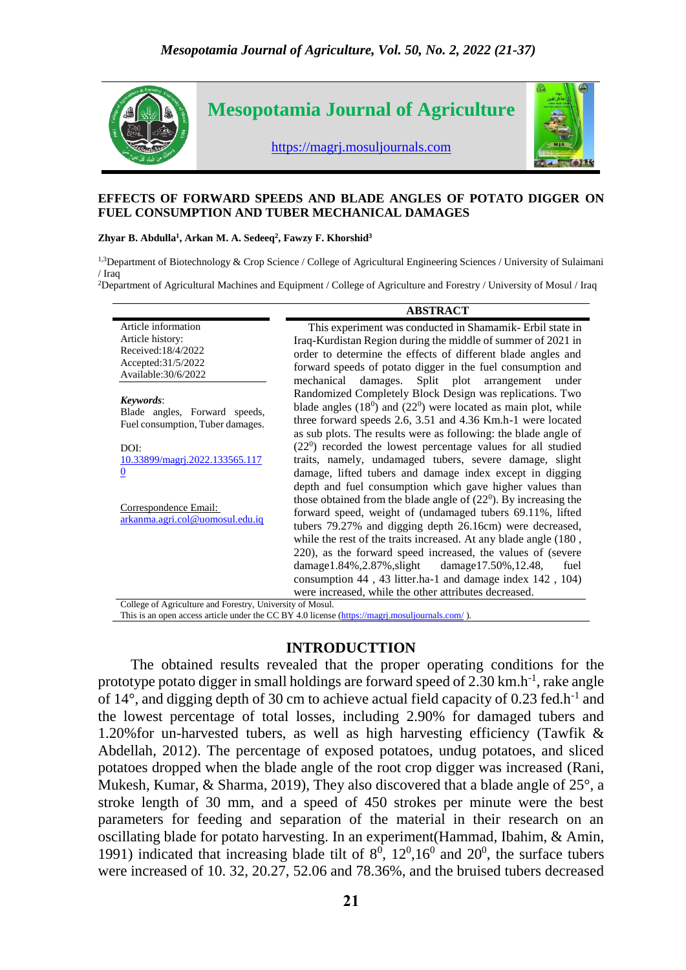

#### **EFFECTS OF FORWARD SPEEDS AND BLADE ANGLES OF POTATO DIGGER ON FUEL CONSUMPTION AND TUBER MECHANICAL DAMAGES**

#### **Zhyar B. Abdulla<sup>1</sup> , Arkan M. A. Sedeeq<sup>2</sup> , Fawzy F. Khorshid<sup>3</sup>**

<sup>1,3</sup>Department of Biotechnology & Crop Science / College of Agricultural Engineering Sciences / University of Sulaimani / Iraq

<sup>2</sup>Department of Agricultural Machines and Equipment / College of Agriculture and Forestry / University of Mosul / Iraq

|                                                                                                              | <b>ABSTRACT</b>                                                                                                                                                                                                                                                                                                   |
|--------------------------------------------------------------------------------------------------------------|-------------------------------------------------------------------------------------------------------------------------------------------------------------------------------------------------------------------------------------------------------------------------------------------------------------------|
| Article information<br>Article history:<br>Received:18/4/2022<br>Accepted: 31/5/2022<br>Available: 30/6/2022 | This experiment was conducted in Shamamik-Erbil state in<br>Iraq-Kurdistan Region during the middle of summer of 2021 in<br>order to determine the effects of different blade angles and<br>forward speeds of potato digger in the fuel consumption and<br>damages. Split plot arrangement<br>mechanical<br>under |
| Keywords:<br>Blade angles, Forward speeds,<br>Fuel consumption, Tuber damages.                               | Randomized Completely Block Design was replications. Two<br>blade angles $(180)$ and $(220)$ were located as main plot, while<br>three forward speeds 2.6, 3.51 and 4.36 Km.h-1 were located<br>as sub plots. The results were as following: the blade angle of                                                   |
| DOI:                                                                                                         | $(220)$ recorded the lowest percentage values for all studied                                                                                                                                                                                                                                                     |
| <u>10.33899/magri.2022.133565.117</u><br>$\overline{0}$                                                      | traits, namely, undamaged tubers, severe damage, slight<br>damage, lifted tubers and damage index except in digging                                                                                                                                                                                               |
|                                                                                                              | depth and fuel consumption which gave higher values than                                                                                                                                                                                                                                                          |
| Correspondence Email:<br>arkanma.agri.col@uomosul.edu.iq                                                     | those obtained from the blade angle of $(22^0)$ . By increasing the<br>forward speed, weight of (undamaged tubers 69.11%, lifted<br>tubers 79.27% and digging depth 26.16cm) were decreased,<br>while the rest of the traits increased. At any blade angle (180,                                                  |
|                                                                                                              | 220), as the forward speed increased, the values of (severe                                                                                                                                                                                                                                                       |
|                                                                                                              | damage $1.84\%$ , $2.87\%$ , slight<br>damage17.50%,12.48,<br>fuel                                                                                                                                                                                                                                                |
|                                                                                                              | consumption 44, 43 litter.ha-1 and damage index 142, 104)                                                                                                                                                                                                                                                         |
| $C_2(1)$ and $C_1(1)$ and $C_2(1)$ and $C_3(1)$ and $C_4(1)$ and $C_5(1)$ and $C_6(1)$ and $C_7(1)$          | were increased, while the other attributes decreased.                                                                                                                                                                                                                                                             |

College of Agriculture and Forestry, University of Mosul. This is an open access article under the CC BY 4.0 license [\(https://magrj.mosuljournals.com/](https://magrj.mosuljournals.com/) ).

### **INTRODUCTTION**

The obtained results revealed that the proper operating conditions for the prototype potato digger in small holdings are forward speed of  $2.30 \text{ km}$ .h<sup>-1</sup>, rake angle of  $14^{\circ}$ , and digging depth of 30 cm to achieve actual field capacity of 0.23 fed.h<sup>-1</sup> and the lowest percentage of total losses, including 2.90% for damaged tubers and 1.20%for un-harvested tubers, as well as high harvesting efficiency (Tawfik & Abdellah, 2012). The percentage of exposed potatoes, undug potatoes, and sliced potatoes dropped when the blade angle of the root crop digger was increased (Rani, Mukesh, Kumar, & Sharma, 2019), They also discovered that a blade angle of 25°, a stroke length of 30 mm, and a speed of 450 strokes per minute were the best parameters for feeding and separation of the material in their research on an oscillating blade for potato harvesting. In an experiment(Hammad, Ibahim, & Amin, 1991) indicated that increasing blade tilt of  $8^0$ ,  $12^0$ ,  $16^0$  and  $20^0$ , the surface tubers were increased of 10. 32, 20.27, 52.06 and 78.36%, and the bruised tubers decreased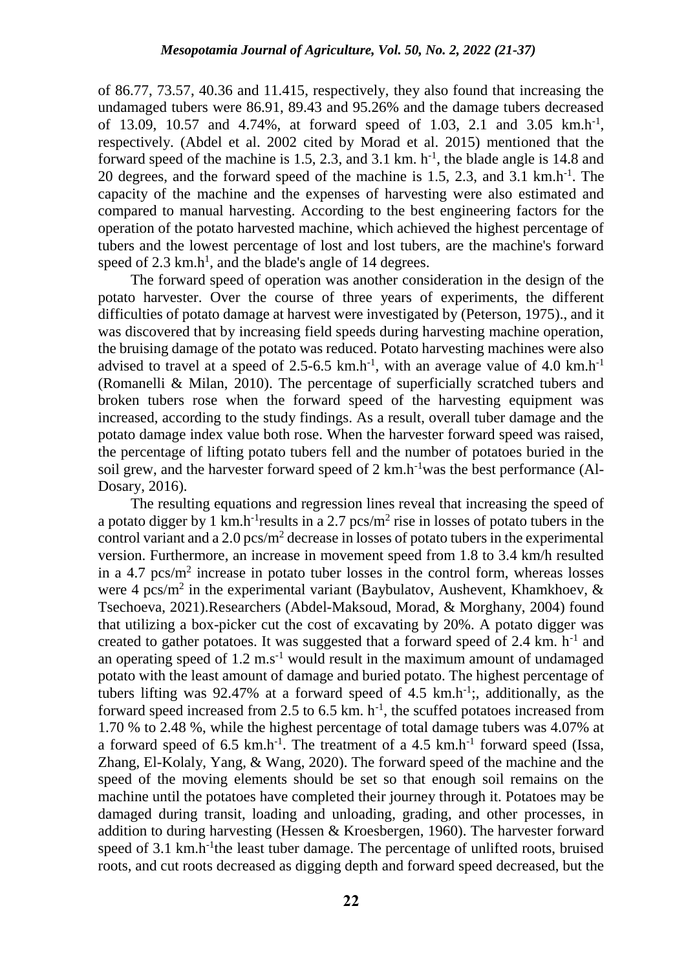of 86.77, 73.57, 40.36 and 11.415, respectively, they also found that increasing the undamaged tubers were 86.91, 89.43 and 95.26% and the damage tubers decreased of 13.09, 10.57 and 4.74%, at forward speed of 1.03, 2.1 and 3.05 km.h<sup>-1</sup>, respectively. (Abdel et al. 2002 cited by Morad et al. 2015) mentioned that the forward speed of the machine is 1.5, 2.3, and 3.1 km.  $h^{-1}$ , the blade angle is 14.8 and 20 degrees, and the forward speed of the machine is 1.5, 2.3, and 3.1 km.h-1 . The capacity of the machine and the expenses of harvesting were also estimated and compared to manual harvesting. According to the best engineering factors for the operation of the potato harvested machine, which achieved the highest percentage of tubers and the lowest percentage of lost and lost tubers, are the machine's forward speed of  $2.3 \text{ km.h}^1$ , and the blade's angle of 14 degrees.

The forward speed of operation was another consideration in the design of the potato harvester. Over the course of three years of experiments, the different difficulties of potato damage at harvest were investigated by (Peterson, 1975)., and it was discovered that by increasing field speeds during harvesting machine operation, the bruising damage of the potato was reduced. Potato harvesting machines were also advised to travel at a speed of  $2.5$ -6.5 km.h<sup>-1</sup>, with an average value of 4.0 km.h<sup>-1</sup> (Romanelli & Milan, 2010). The percentage of superficially scratched tubers and broken tubers rose when the forward speed of the harvesting equipment was increased, according to the study findings. As a result, overall tuber damage and the potato damage index value both rose. When the harvester forward speed was raised, the percentage of lifting potato tubers fell and the number of potatoes buried in the soil grew, and the harvester forward speed of 2 km.h<sup>-1</sup>was the best performance (Al-Dosary, 2016).

The resulting equations and regression lines reveal that increasing the speed of a potato digger by 1 km.h<sup>-1</sup> results in a 2.7 pcs/m<sup>2</sup> rise in losses of potato tubers in the control variant and a 2.0 pcs/ $m^2$  decrease in losses of potato tubers in the experimental version. Furthermore, an increase in movement speed from 1.8 to 3.4 km/h resulted in a 4.7 pcs/ $m<sup>2</sup>$  increase in potato tuber losses in the control form, whereas losses were 4 pcs/m<sup>2</sup> in the experimental variant (Baybulatov, Aushevent, Khamkhoev, & Tsechoeva, 2021).Researchers (Abdel-Maksoud, Morad, & Morghany, 2004) found that utilizing a box-picker cut the cost of excavating by 20%. A potato digger was created to gather potatoes. It was suggested that a forward speed of 2.4 km. h<sup>-1</sup> and an operating speed of  $1.2 \text{ m.s}^{-1}$  would result in the maximum amount of undamaged potato with the least amount of damage and buried potato. The highest percentage of tubers lifting was 92.47% at a forward speed of 4.5  $km.h^{-1}$ ;, additionally, as the forward speed increased from 2.5 to 6.5 km.  $h^{-1}$ , the scuffed potatoes increased from 1.70 % to 2.48 %, while the highest percentage of total damage tubers was 4.07% at a forward speed of  $6.5 \text{ km.h}^{-1}$ . The treatment of a 4.5 km.h<sup>-1</sup> forward speed (Issa, Zhang, El-Kolaly, Yang, & Wang, 2020). The forward speed of the machine and the speed of the moving elements should be set so that enough soil remains on the machine until the potatoes have completed their journey through it. Potatoes may be damaged during transit, loading and unloading, grading, and other processes, in addition to during harvesting (Hessen & Kroesbergen, 1960). The harvester forward speed of 3.1 km.h<sup>-1</sup>the least tuber damage. The percentage of unlifted roots, bruised roots, and cut roots decreased as digging depth and forward speed decreased, but the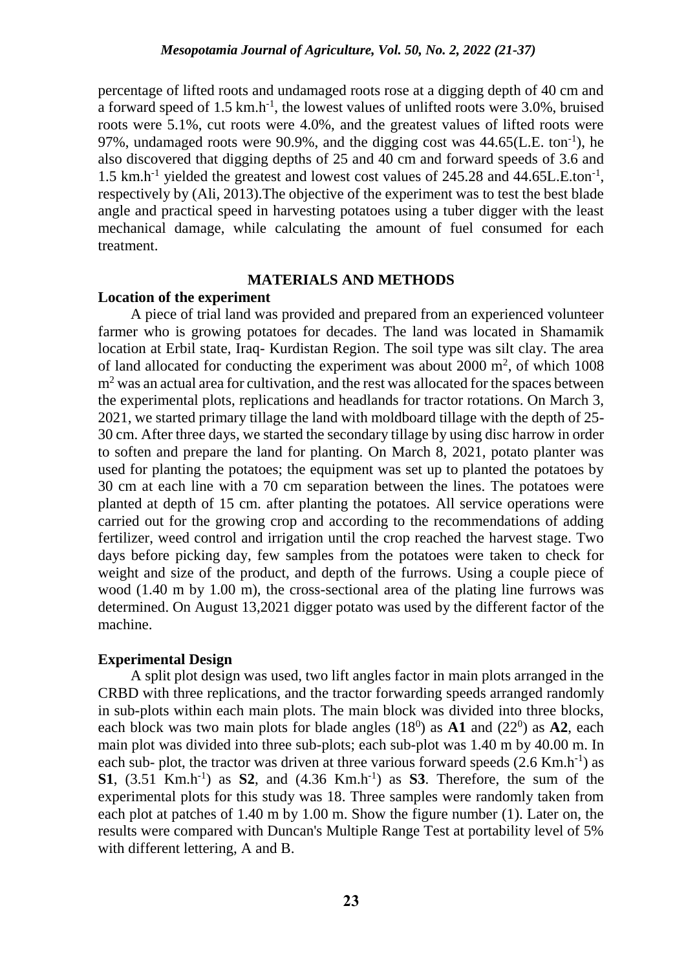percentage of lifted roots and undamaged roots rose at a digging depth of 40 cm and a forward speed of 1.5 km.h<sup>-1</sup>, the lowest values of unlifted roots were 3.0%, bruised roots were 5.1%, cut roots were 4.0%, and the greatest values of lifted roots were 97%, undamaged roots were 90.9%, and the digging cost was  $44.65$ (L.E. ton<sup>-1</sup>), he also discovered that digging depths of 25 and 40 cm and forward speeds of 3.6 and 1.5 km.h<sup>-1</sup> yielded the greatest and lowest cost values of 245.28 and 44.65L.E.ton<sup>-1</sup>, respectively by (Ali, 2013).The objective of the experiment was to test the best blade angle and practical speed in harvesting potatoes using a tuber digger with the least mechanical damage, while calculating the amount of fuel consumed for each treatment.

### **MATERIALS AND METHODS**

# **Location of the experiment**

A piece of trial land was provided and prepared from an experienced volunteer farmer who is growing potatoes for decades. The land was located in Shamamik location at Erbil state, Iraq- Kurdistan Region. The soil type was silt clay. The area of land allocated for conducting the experiment was about  $2000 \text{ m}^2$ , of which  $1008$ m<sup>2</sup> was an actual area for cultivation, and the rest was allocated for the spaces between the experimental plots, replications and headlands for tractor rotations. On March 3, 2021, we started primary tillage the land with moldboard tillage with the depth of 25- 30 cm. After three days, we started the secondary tillage by using disc harrow in order to soften and prepare the land for planting. On March 8, 2021, potato planter was used for planting the potatoes; the equipment was set up to planted the potatoes by 30 cm at each line with a 70 cm separation between the lines. The potatoes were planted at depth of 15 cm. after planting the potatoes. All service operations were carried out for the growing crop and according to the recommendations of adding fertilizer, weed control and irrigation until the crop reached the harvest stage. Two days before picking day, few samples from the potatoes were taken to check for weight and size of the product, and depth of the furrows. Using a couple piece of wood (1.40 m by 1.00 m), the cross-sectional area of the plating line furrows was determined. On August 13,2021 digger potato was used by the different factor of the machine.

# **Experimental Design**

A split plot design was used, two lift angles factor in main plots arranged in the CRBD with three replications, and the tractor forwarding speeds arranged randomly in sub-plots within each main plots. The main block was divided into three blocks, each block was two main plots for blade angles  $(18<sup>0</sup>)$  as  $A1$  and  $(22<sup>0</sup>)$  as  $A2$ , each main plot was divided into three sub-plots; each sub-plot was 1.40 m by 40.00 m. In each sub- plot, the tractor was driven at three various forward speeds  $(2.6 \text{ Km.h}^{-1})$  as **S1**,  $(3.51 \text{ Km.h}^{-1})$  as **S2**, and  $(4.36 \text{ Km.h}^{-1})$  as **S3**. Therefore, the sum of the experimental plots for this study was 18. Three samples were randomly taken from each plot at patches of 1.40 m by 1.00 m. Show the figure number (1). Later on, the results were compared with Duncan's Multiple Range Test at portability level of 5% with different lettering, A and B.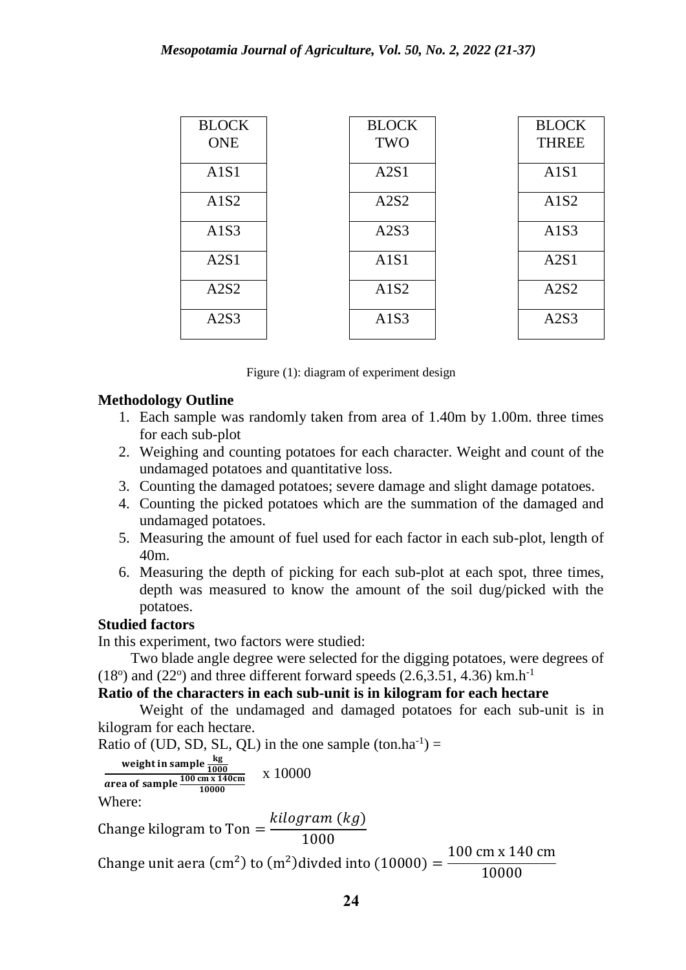| <b>BLOCK</b><br><b>ONE</b> | <b>BLOCK</b><br><b>TWO</b> | <b>BLOCK</b><br><b>THREE</b> |
|----------------------------|----------------------------|------------------------------|
| A1S1                       | A2S1                       | A1S1                         |
| A1S2                       | A2S2                       | A1S2                         |
| A1S3                       | A2S3                       | A1S3                         |
| A2S1                       | A1S1                       | A2S1                         |
| A2S2                       | A1S2                       | A2S2                         |
| A2S3                       | A1S3                       | A2S3                         |

Figure (1): diagram of experiment design

# **Methodology Outline**

- 1. Each sample was randomly taken from area of 1.40m by 1.00m. three times for each sub-plot
- 2. Weighing and counting potatoes for each character. Weight and count of the undamaged potatoes and quantitative loss.
- 3. Counting the damaged potatoes; severe damage and slight damage potatoes.
- 4. Counting the picked potatoes which are the summation of the damaged and undamaged potatoes.
- 5. Measuring the amount of fuel used for each factor in each sub-plot, length of 40m.
- 6. Measuring the depth of picking for each sub-plot at each spot, three times, depth was measured to know the amount of the soil dug/picked with the potatoes.

# **Studied factors**

In this experiment, two factors were studied:

Two blade angle degree were selected for the digging potatoes, were degrees of  $(18<sup>o</sup>)$  and  $(22<sup>o</sup>)$  and three different forward speeds  $(2.6,3.51, 4.36)$  km.h<sup>-1</sup>

# **Ratio of the characters in each sub-unit is in kilogram for each hectare**

Weight of the undamaged and damaged potatoes for each sub-unit is in kilogram for each hectare.

Ratio of (UD, SD, SL, QL) in the one sample  $(ton.ha^{-1}) =$ 

weight in sample 
$$
\frac{\text{kg}}{1000}
$$
  
area of sample  $\frac{100 \text{ cm} \times 140 \text{ cm}}{10000}$  x 10000

Where:

Change kilogram to Ton  $=$ kilogram (kg) 1000

Change unit aera (cm<sup>2</sup>) to (m<sup>2</sup>) divded into (10000) = 100 cm x 140 cm 10000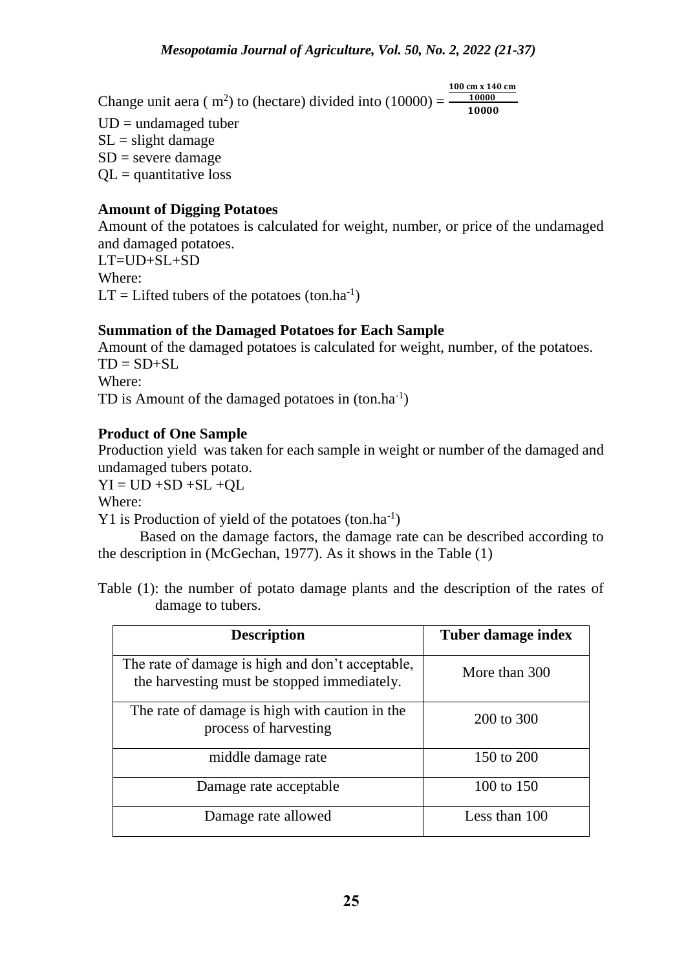Change unit aera ( $m^2$ ) to (hectare) divided into (10000) =  $\frac{10000}{40000}$ 100 cm x 140 cm 10000

 $UD = undamaged$  tuber  $SL =$  slight damage

 $SD$  = severe damage  $QL =$  quantitative loss

# **Amount of Digging Potatoes**

Amount of the potatoes is calculated for weight, number, or price of the undamaged and damaged potatoes.  $LT=UID+SL+SD$ Where:  $LT = Lifted$  tubers of the potatoes (ton.ha<sup>-1</sup>)

# **Summation of the Damaged Potatoes for Each Sample**

Amount of the damaged potatoes is calculated for weight, number, of the potatoes.  $TD = SD + SL$ Where: TD is Amount of the damaged potatoes in  $(ton.ha^{-1})$ 

# **Product of One Sample**

Production yield was taken for each sample in weight or number of the damaged and undamaged tubers potato.

 $YI = UD + SD + SL + OL$ 

Where:

Y1 is Production of yield of the potatoes  $(ton.ha^{-1})$ 

Based on the damage factors, the damage rate can be described according to the description in (McGechan, 1977). As it shows in the Table (1)

Table (1): the number of potato damage plants and the description of the rates of damage to tubers.

| <b>Description</b>                                                                              | Tuber damage index |  |  |
|-------------------------------------------------------------------------------------------------|--------------------|--|--|
| The rate of damage is high and don't acceptable,<br>the harvesting must be stopped immediately. | More than 300      |  |  |
| The rate of damage is high with caution in the<br>process of harvesting                         | 200 to 300         |  |  |
| middle damage rate                                                                              | 150 to 200         |  |  |
| Damage rate acceptable                                                                          | 100 to 150         |  |  |
| Damage rate allowed                                                                             | Less than 100      |  |  |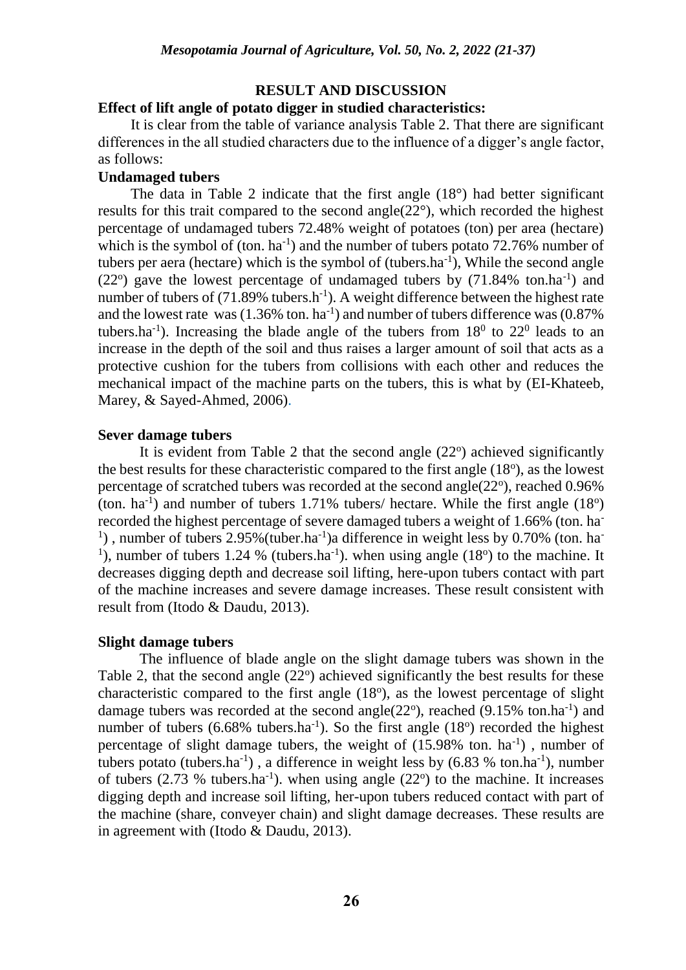## **RESULT AND DISCUSSION**

## **Effect of lift angle of potato digger in studied characteristics:**

It is clear from the table of variance analysis Table 2. That there are significant differences in the all studied characters due to the influence of a digger's angle factor, as follows:

### **Undamaged tubers**

The data in Table 2 indicate that the first angle (18°) had better significant results for this trait compared to the second angle(22°), which recorded the highest percentage of undamaged tubers 72.48% weight of potatoes (ton) per area (hectare) which is the symbol of  $(\text{ton.} \text{ ha}^{-1})$  and the number of tubers potato 72.76% number of tubers per aera (hectare) which is the symbol of  $(tubers.ha^{-1})$ , While the second angle  $(22^{\circ})$  gave the lowest percentage of undamaged tubers by  $(71.84\%$  ton.ha<sup>-1</sup>) and number of tubers of  $(71.89\%$  tubers.h<sup>-1</sup>). A weight difference between the highest rate and the lowest rate was  $(1.36\% \text{ ton. ha}^{-1})$  and number of tubers difference was  $(0.87\%$ tubers.ha<sup>-1</sup>). Increasing the blade angle of the tubers from  $18^0$  to  $22^0$  leads to an increase in the depth of the soil and thus raises a larger amount of soil that acts as a protective cushion for the tubers from collisions with each other and reduces the mechanical impact of the machine parts on the tubers, this is what by (EI-Khateeb, Marey, & Sayed-Ahmed, 2006).

#### **Sever damage tubers**

It is evident from Table 2 that the second angle  $(22^{\circ})$  achieved significantly the best results for these characteristic compared to the first angle  $(18<sup>o</sup>)$ , as the lowest percentage of scratched tubers was recorded at the second angle $(22^{\circ})$ , reached 0.96%  $(ton. ha<sup>-1</sup>)$  and number of tubers 1.71% tubers/ hectare. While the first angle  $(18<sup>o</sup>)$ recorded the highest percentage of severe damaged tubers a weight of 1.66% (ton. ha-<sup>1</sup>), number of tubers 2.95% (tuber.ha<sup>-1</sup>) a difference in weight less by 0.70% (ton. ha<sup>-1</sup>) <sup>1</sup>), number of tubers 1.24 % (tubers.ha<sup>-1</sup>). when using angle (18<sup>o</sup>) to the machine. It decreases digging depth and decrease soil lifting, here-upon tubers contact with part of the machine increases and severe damage increases. These result consistent with result from (Itodo & Daudu, 2013).

## **Slight damage tubers**

The influence of blade angle on the slight damage tubers was shown in the Table 2, that the second angle  $(22^{\circ})$  achieved significantly the best results for these characteristic compared to the first angle  $(18<sup>o</sup>)$ , as the lowest percentage of slight damage tubers was recorded at the second angle( $22^{\circ}$ ), reached ( $9.15\%$  ton.ha<sup>-1</sup>) and number of tubers  $(6.68\%$  tubers.ha<sup>-1</sup>). So the first angle  $(18<sup>o</sup>)$  recorded the highest percentage of slight damage tubers, the weight of  $(15.98\%$  ton. ha<sup>-1</sup>), number of tubers potato (tubers.ha<sup>-1</sup>), a difference in weight less by  $(6.83\% \text{ ton.ha}^{-1})$ , number of tubers  $(2.73 \%$  tubers.ha<sup>-1</sup>). when using angle  $(22^{\circ})$  to the machine. It increases digging depth and increase soil lifting, her-upon tubers reduced contact with part of the machine (share, conveyer chain) and slight damage decreases. These results are in agreement with (Itodo & Daudu, 2013).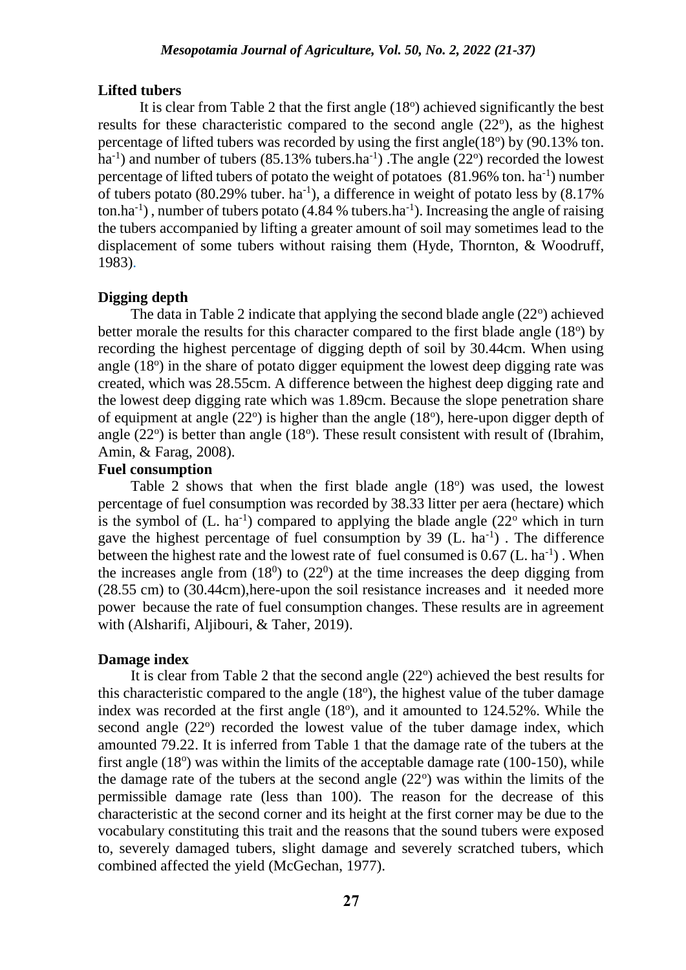#### **Lifted tubers**

It is clear from Table 2 that the first angle  $(18<sup>o</sup>)$  achieved significantly the best results for these characteristic compared to the second angle  $(22^{\circ})$ , as the highest percentage of lifted tubers was recorded by using the first angle $(18<sup>o</sup>)$  by  $(90.13%$  ton. ha<sup>-1</sup>) and number of tubers  $(85.13\%$  tubers.ha<sup>-1</sup>). The angle  $(22^{\circ})$  recorded the lowest percentage of lifted tubers of potato the weight of potatoes  $(81.96\%$  ton. ha<sup>-1</sup>) number of tubers potato (80.29% tuber. ha<sup>-1</sup>), a difference in weight of potato less by  $(8.17\%)$ ton.ha<sup>-1</sup>), number of tubers potato (4.84 % tubers.ha<sup>-1</sup>). Increasing the angle of raising the tubers accompanied by lifting a greater amount of soil may sometimes lead to the displacement of some tubers without raising them (Hyde, Thornton, & Woodruff, 1983).

## **Digging depth**

The data in Table 2 indicate that applying the second blade angle  $(22^{\circ})$  achieved better morale the results for this character compared to the first blade angle  $(18<sup>o</sup>)$  by recording the highest percentage of digging depth of soil by 30.44cm. When using angle (18°) in the share of potato digger equipment the lowest deep digging rate was created, which was 28.55cm. A difference between the highest deep digging rate and the lowest deep digging rate which was 1.89cm. Because the slope penetration share of equipment at angle  $(22^{\circ})$  is higher than the angle  $(18^{\circ})$ , here-upon digger depth of angle  $(22^{\circ})$  is better than angle  $(18^{\circ})$ . These result consistent with result of (Ibrahim, Amin, & Farag, 2008).

# **Fuel consumption**

Table 2 shows that when the first blade angle  $(18^{\circ})$  was used, the lowest percentage of fuel consumption was recorded by 38.33 litter per aera (hectare) which is the symbol of  $(L. \text{ ha}^{-1})$  compared to applying the blade angle  $(22^{\circ}$  which in turn gave the highest percentage of fuel consumption by  $39$  (L. ha<sup>-1</sup>). The difference between the highest rate and the lowest rate of fuel consumed is  $0.67$  (L. ha<sup>-1</sup>). When the increases angle from  $(18<sup>0</sup>)$  to  $(22<sup>0</sup>)$  at the time increases the deep digging from (28.55 cm) to (30.44cm),here-upon the soil resistance increases and it needed more power because the rate of fuel consumption changes. These results are in agreement with (Alsharifi, Aljibouri, & Taher, 2019).

#### **Damage index**

It is clear from Table 2 that the second angle  $(22^{\circ})$  achieved the best results for this characteristic compared to the angle  $(18<sup>o</sup>)$ , the highest value of the tuber damage index was recorded at the first angle  $(18<sup>o</sup>)$ , and it amounted to  $124.52\%$ . While the second angle (22°) recorded the lowest value of the tuber damage index, which amounted 79.22. It is inferred from Table 1 that the damage rate of the tubers at the first angle  $(18<sup>o</sup>)$  was within the limits of the acceptable damage rate  $(100-150)$ , while the damage rate of the tubers at the second angle  $(22^{\circ})$  was within the limits of the permissible damage rate (less than 100). The reason for the decrease of this characteristic at the second corner and its height at the first corner may be due to the vocabulary constituting this trait and the reasons that the sound tubers were exposed to, severely damaged tubers, slight damage and severely scratched tubers, which combined affected the yield (McGechan, 1977).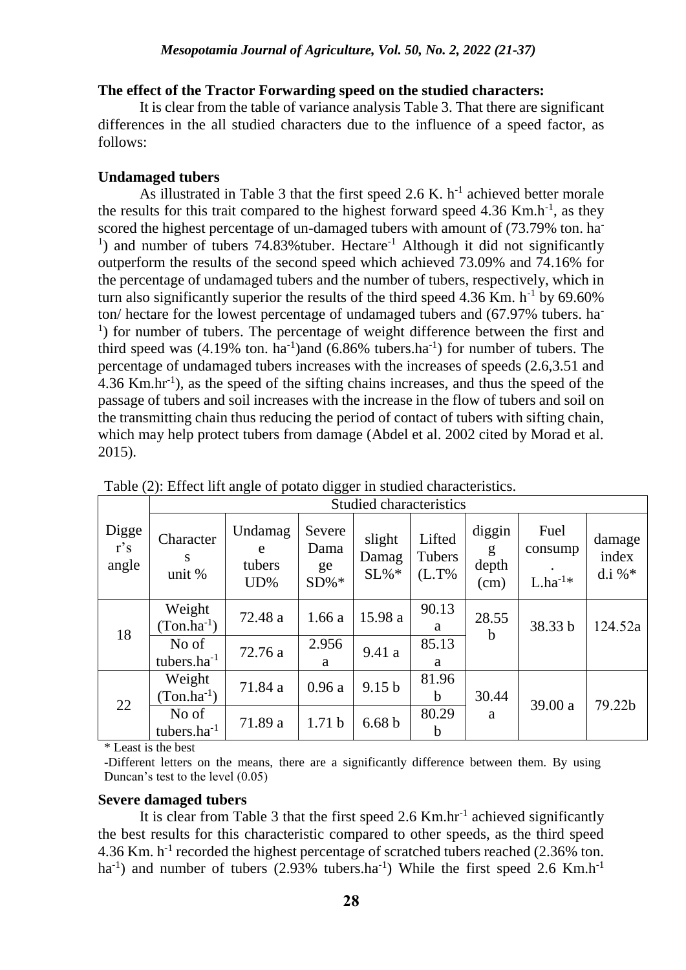## **The effect of the Tractor Forwarding speed on the studied characters:**

It is clear from the table of variance analysis Table 3. That there are significant differences in the all studied characters due to the influence of a speed factor, as follows:

# **Undamaged tubers**

As illustrated in Table 3 that the first speed 2.6 K.  $h^{-1}$  achieved better morale the results for this trait compared to the highest forward speed  $4.36$  Km.h<sup>-1</sup>, as they scored the highest percentage of un-damaged tubers with amount of (73.79% ton. ha-<sup>1</sup>) and number of tubers 74.83% tuber. Hectare<sup>-1</sup> Although it did not significantly outperform the results of the second speed which achieved 73.09% and 74.16% for the percentage of undamaged tubers and the number of tubers, respectively, which in turn also significantly superior the results of the third speed  $4.36$  Km. h<sup>-1</sup> by  $69.60\%$ ton/ hectare for the lowest percentage of undamaged tubers and (67.97% tubers. ha-<sup>1</sup>) for number of tubers. The percentage of weight difference between the first and third speed was  $(4.19\% \text{ ton.} \text{ ha}^{-1})$  and  $(6.86\% \text{ tubers.} \text{ha}^{-1})$  for number of tubers. The percentage of undamaged tubers increases with the increases of speeds (2.6,3.51 and 4.36 Km.hr-1 ), as the speed of the sifting chains increases, and thus the speed of the passage of tubers and soil increases with the increase in the flow of tubers and soil on the transmitting chain thus reducing the period of contact of tubers with sifting chain, which may help protect tubers from damage (Abdel et al. 2002 cited by Morad et al. 2015).

|                       | <b>Studied characteristics</b> |                                  |                                 |                        |                              |                              |                                 |                              |  |
|-----------------------|--------------------------------|----------------------------------|---------------------------------|------------------------|------------------------------|------------------------------|---------------------------------|------------------------------|--|
| Digge<br>r's<br>angle | Character<br>S<br>unit %       | Undamag<br>e<br>tubers<br>$UD\%$ | Severe<br>Dama<br>ge<br>$SD\%*$ | slight<br>Damag<br>SL% | Lifted<br>Tubers<br>$(L.T\%$ | diggin<br>g<br>depth<br>(cm) | Fuel<br>consump<br>$L.ha^{-1*}$ | damage<br>index<br>d.i % $*$ |  |
| 18                    | Weight<br>$(Ton.ha^{-1})$      | 72.48 a                          | 1.66a                           | 15.98 a                | 90.13<br>a                   | 28.55<br>b                   | 38.33 b                         | 124.52a                      |  |
|                       | No of<br>tubers.ha $^{-1}$     | 72.76 a                          | 2.956<br>a                      | 9.41 a                 | 85.13<br>a                   |                              |                                 |                              |  |
| 22                    | Weight<br>$(Ton.ha^{-1})$      | 71.84 a                          | 0.96a                           | 9.15 <sub>b</sub>      | 81.96<br>$\mathbf b$         | 30.44                        | 39.00 a                         | 79.22b                       |  |
|                       | No of<br>tubers. $ha^{-1}$     | 71.89 a                          | 1.71 <sub>b</sub>               | 6.68 <sub>b</sub>      | 80.29<br>$\mathbf b$         | a                            |                                 |                              |  |

Table (2): Effect lift angle of potato digger in studied characteristics.

\* Least is the best

-Different letters on the means, there are a significantly difference between them. By using Duncan's test to the level (0.05)

# **Severe damaged tubers**

It is clear from Table 3 that the first speed 2.6 Km.hr<sup>-1</sup> achieved significantly the best results for this characteristic compared to other speeds, as the third speed 4.36 Km. h<sup>-1</sup> recorded the highest percentage of scratched tubers reached (2.36% ton. ha<sup>-1</sup>) and number of tubers (2.93% tubers.ha<sup>-1</sup>) While the first speed 2.6 Km.h<sup>-1</sup>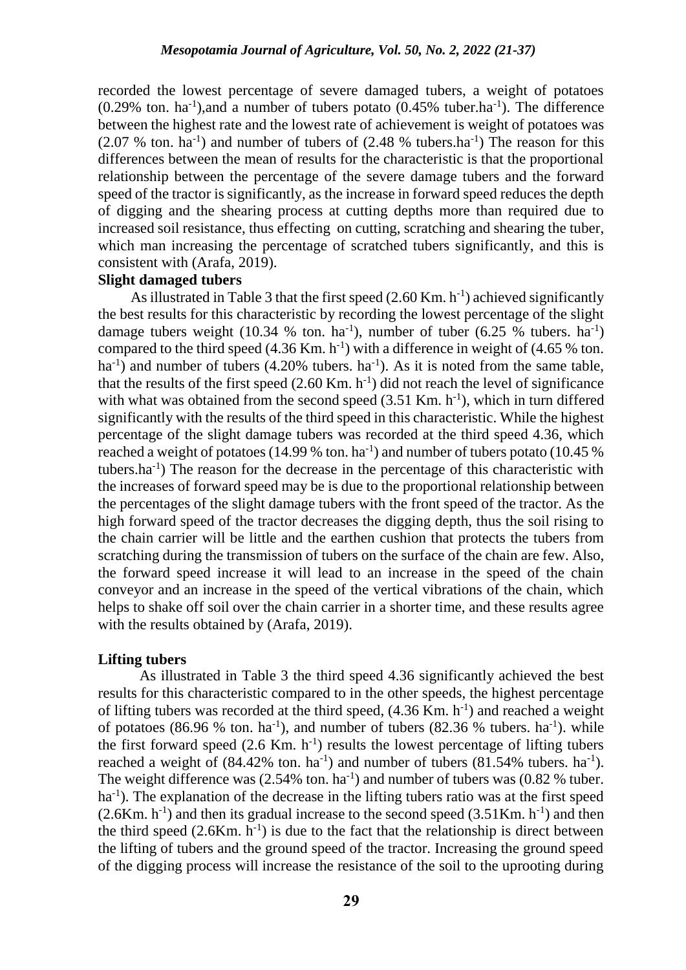recorded the lowest percentage of severe damaged tubers, a weight of potatoes  $(0.29\%$  ton. ha<sup>-1</sup>), and a number of tubers potato  $(0.45\%$  tuber.ha<sup>-1</sup>). The difference between the highest rate and the lowest rate of achievement is weight of potatoes was  $(2.07 %$  ton. ha<sup>-1</sup>) and number of tubers of  $(2.48 %$  tubers.ha<sup>-1</sup>) The reason for this differences between the mean of results for the characteristic is that the proportional relationship between the percentage of the severe damage tubers and the forward speed of the tractor is significantly, as the increase in forward speed reduces the depth of digging and the shearing process at cutting depths more than required due to increased soil resistance, thus effecting on cutting, scratching and shearing the tuber, which man increasing the percentage of scratched tubers significantly, and this is consistent with (Arafa, 2019).

# **Slight damaged tubers**

As illustrated in Table 3 that the first speed  $(2.60 \text{ Km.} \text{ h}^{-1})$  achieved significantly the best results for this characteristic by recording the lowest percentage of the slight damage tubers weight (10.34 % ton. ha<sup>-1</sup>), number of tuber (6.25 % tubers. ha<sup>-1</sup>) compared to the third speed  $(4.36 \text{ Km. h}^{-1})$  with a difference in weight of  $(4.65 \% \text{ ton.})$  $ha^{-1}$ ) and number of tubers (4.20% tubers.  $ha^{-1}$ ). As it is noted from the same table, that the results of the first speed  $(2.60 \text{ Km. h}^{-1})$  did not reach the level of significance with what was obtained from the second speed  $(3.51 \text{ Km. h}^{-1})$ , which in turn differed significantly with the results of the third speed in this characteristic. While the highest percentage of the slight damage tubers was recorded at the third speed 4.36, which reached a weight of potatoes (14.99 % ton. ha<sup>-1</sup>) and number of tubers potato (10.45 % tubers.ha-1 ) The reason for the decrease in the percentage of this characteristic with the increases of forward speed may be is due to the proportional relationship between the percentages of the slight damage tubers with the front speed of the tractor. As the high forward speed of the tractor decreases the digging depth, thus the soil rising to the chain carrier will be little and the earthen cushion that protects the tubers from scratching during the transmission of tubers on the surface of the chain are few. Also, the forward speed increase it will lead to an increase in the speed of the chain conveyor and an increase in the speed of the vertical vibrations of the chain, which helps to shake off soil over the chain carrier in a shorter time, and these results agree with the results obtained by (Arafa, 2019).

#### **Lifting tubers**

As illustrated in Table 3 the third speed 4.36 significantly achieved the best results for this characteristic compared to in the other speeds, the highest percentage of lifting tubers was recorded at the third speed,  $(4.36$  Km.  $h^{-1}$ ) and reached a weight of potatoes (86.96 % ton. ha<sup>-1</sup>), and number of tubers (82.36 % tubers. ha<sup>-1</sup>). while the first forward speed  $(2.6 \text{ Km. h}^{-1})$  results the lowest percentage of lifting tubers reached a weight of  $(84.42\% \text{ ton.} \text{ ha}^{-1})$  and number of tubers  $(81.54\% \text{ tubers.} \text{ ha}^{-1})$ . The weight difference was  $(2.54\% \text{ ton.} \text{ ha}^{-1})$  and number of tubers was  $(0.82\% \text{ tuber.})$ ha<sup>-1</sup>). The explanation of the decrease in the lifting tubers ratio was at the first speed  $(2.6$ Km. h<sup>-1</sup>) and then its gradual increase to the second speed  $(3.51$ Km. h<sup>-1</sup>) and then the third speed  $(2.6 \text{Km} \cdot \text{h}^{-1})$  is due to the fact that the relationship is direct between the lifting of tubers and the ground speed of the tractor. Increasing the ground speed of the digging process will increase the resistance of the soil to the uprooting during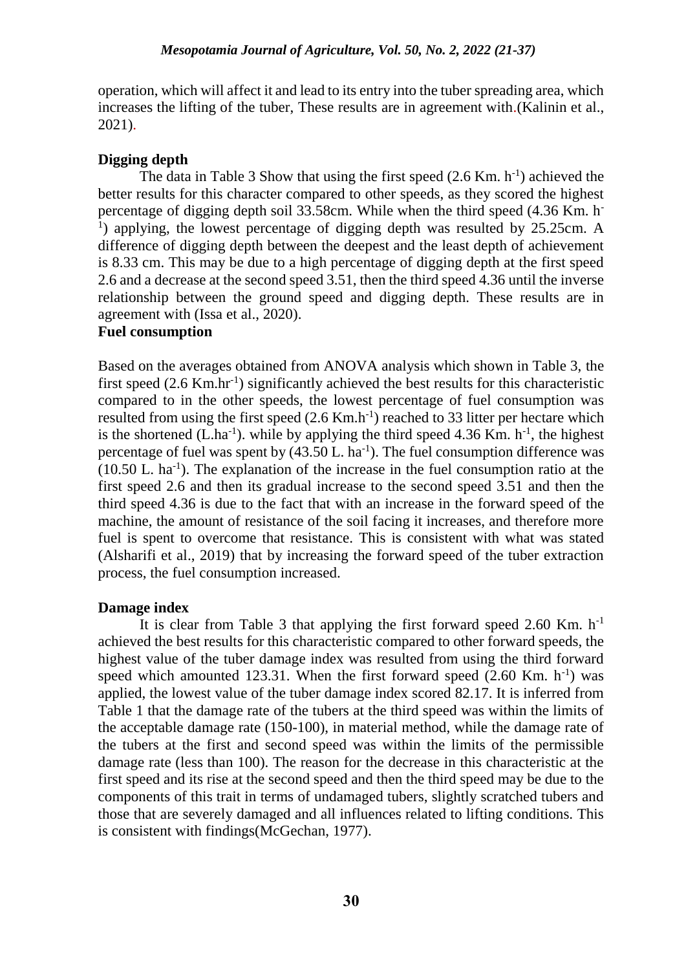operation, which will affect it and lead to its entry into the tuber spreading area, which increases the lifting of the tuber, These results are in agreement with.(Kalinin et al., 2021).

# **Digging depth**

The data in Table 3 Show that using the first speed  $(2.6$  Km. h<sup>-1</sup>) achieved the better results for this character compared to other speeds, as they scored the highest percentage of digging depth soil 33.58cm. While when the third speed (4.36 Km. h-<sup>1</sup>) applying, the lowest percentage of digging depth was resulted by 25.25cm. A difference of digging depth between the deepest and the least depth of achievement is 8.33 cm. This may be due to a high percentage of digging depth at the first speed 2.6 and a decrease at the second speed 3.51, then the third speed 4.36 until the inverse relationship between the ground speed and digging depth. These results are in agreement with (Issa et al., 2020).

# **Fuel consumption**

Based on the averages obtained from ANOVA analysis which shown in Table 3, the first speed (2.6 Km.hr<sup>-1</sup>) significantly achieved the best results for this characteristic compared to in the other speeds, the lowest percentage of fuel consumption was resulted from using the first speed  $(2.6 \text{ Km.h}^{-1})$  reached to 33 litter per hectare which is the shortened  $(L.ha^{-1})$ . while by applying the third speed 4.36 Km.  $h^{-1}$ , the highest percentage of fuel was spent by  $(43.50 \, \text{L} \cdot \text{ha}^{-1})$ . The fuel consumption difference was  $(10.50$  L. ha<sup>-1</sup>). The explanation of the increase in the fuel consumption ratio at the first speed 2.6 and then its gradual increase to the second speed 3.51 and then the third speed 4.36 is due to the fact that with an increase in the forward speed of the machine, the amount of resistance of the soil facing it increases, and therefore more fuel is spent to overcome that resistance. This is consistent with what was stated (Alsharifi et al., 2019) that by increasing the forward speed of the tuber extraction process, the fuel consumption increased.

# **Damage index**

It is clear from Table 3 that applying the first forward speed 2.60 Km.  $h^{-1}$ achieved the best results for this characteristic compared to other forward speeds, the highest value of the tuber damage index was resulted from using the third forward speed which amounted 123.31. When the first forward speed  $(2.60 \text{ Km. h}^{-1})$  was applied, the lowest value of the tuber damage index scored 82.17. It is inferred from Table 1 that the damage rate of the tubers at the third speed was within the limits of the acceptable damage rate (150-100), in material method, while the damage rate of the tubers at the first and second speed was within the limits of the permissible damage rate (less than 100). The reason for the decrease in this characteristic at the first speed and its rise at the second speed and then the third speed may be due to the components of this trait in terms of undamaged tubers, slightly scratched tubers and those that are severely damaged and all influences related to lifting conditions. This is consistent with findings(McGechan, 1977).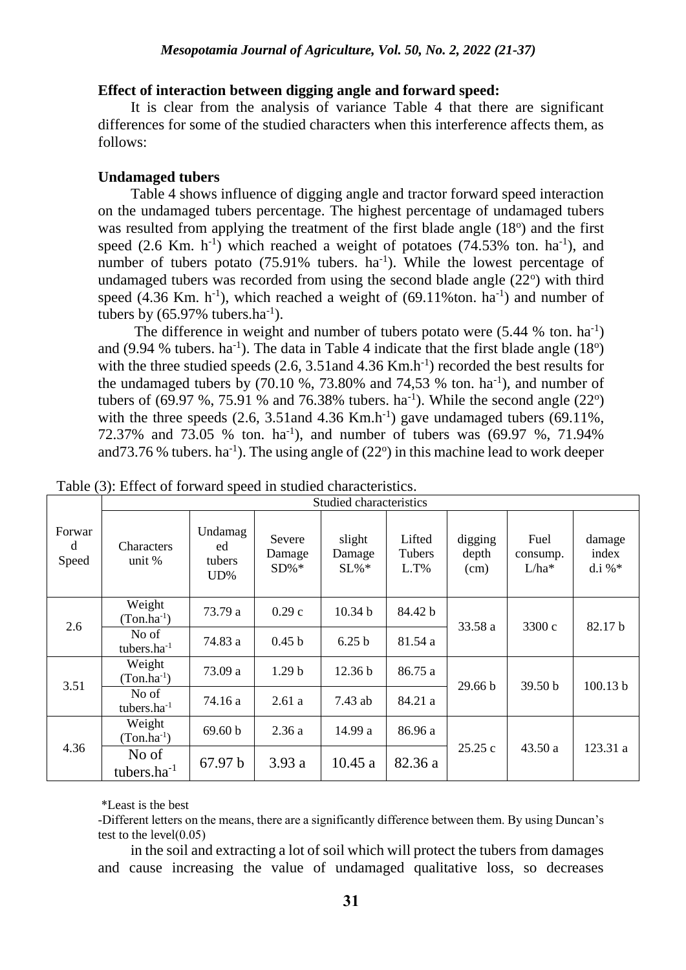### **Effect of interaction between digging angle and forward speed:**

It is clear from the analysis of variance Table 4 that there are significant differences for some of the studied characters when this interference affects them, as follows:

## **Undamaged tubers**

Table 4 shows influence of digging angle and tractor forward speed interaction on the undamaged tubers percentage. The highest percentage of undamaged tubers was resulted from applying the treatment of the first blade angle (18°) and the first speed  $(2.6$  Km. h<sup>-1</sup>) which reached a weight of potatoes  $(74.53\%$  ton. ha<sup>-1</sup>), and number of tubers potato  $(75.91\%$  tubers. ha<sup>-1</sup>). While the lowest percentage of undamaged tubers was recorded from using the second blade angle  $(22^{\circ})$  with third speed  $(4.36$  Km. h<sup>-1</sup>), which reached a weight of  $(69.11\%$ ton. ha<sup>-1</sup>) and number of tubers by  $(65.97\% \text{ tubers.ha}^{-1})$ .

The difference in weight and number of tubers potato were  $(5.44 \% \text{ ton.} \text{ ha}^{-1})$ and (9.94 % tubers. ha<sup>-1</sup>). The data in Table 4 indicate that the first blade angle  $(18^{\circ})$ with the three studied speeds  $(2.6, 3.51$  and  $4.36$  Km.h<sup>-1</sup>) recorded the best results for the undamaged tubers by  $(70.10 \text{ %}, 73.80\text{ %})$  and  $74,53 \text{ %}$  ton. ha<sup>-1</sup>), and number of tubers of  $(69.97 \%, 75.91 \%$  and 76.38% tubers. ha<sup>-1</sup>). While the second angle  $(22^{\circ})$ with the three speeds  $(2.6, 3.51$  and  $4.36$  Km.h<sup>-1</sup>) gave undamaged tubers  $(69.11\%$ , 72.37% and 73.05 % ton.  $\text{ha}^{-1}$ ), and number of tubers was (69.97 %, 71.94% and 73.76 % tubers. ha<sup>-1</sup>). The using angle of  $(22^{\circ})$  in this machine lead to work deeper

|                      | Studied characteristics     |                                   |                            |                         |                             |                          |                             |                              |  |
|----------------------|-----------------------------|-----------------------------------|----------------------------|-------------------------|-----------------------------|--------------------------|-----------------------------|------------------------------|--|
| Forwar<br>d<br>Speed | <b>Characters</b><br>unit % | Undamag<br>ed<br>tubers<br>$UD\%$ | Severe<br>Damage<br>$SD%*$ | slight<br>Damage<br>SL% | Lifted<br>Tubers<br>$L.T\%$ | digging<br>depth<br>(cm) | Fuel<br>consump.<br>$L/ha*$ | damage<br>index<br>d.i % $*$ |  |
| 2.6                  | Weight<br>$(Ton.ha^{-1})$   | 73.79 a                           | 0.29c                      | 10.34 <sub>b</sub>      | 84.42 b                     | 33.58 a                  | 3300 c                      | 82.17 b                      |  |
|                      | No of<br>tubers. $ha^{-1}$  | 74.83 a                           | 0.45 <sub>b</sub>          | 6.25 <sub>b</sub>       | 81.54 a                     |                          |                             |                              |  |
| 3.51                 | Weight<br>$(Ton.ha^{-1})$   | 73.09 a                           | 1.29 <sub>b</sub>          | 12.36 b                 | 86.75 a                     | 29.66 b                  | 39.50 b                     | 100.13 b                     |  |
|                      | No of<br>tubers. $ha^{-1}$  | 74.16 a                           | 2.61a                      | 7.43 ab                 | 84.21 a                     |                          |                             |                              |  |
| 4.36                 | Weight<br>$(Ton.ha^{-1})$   | 69.60 b                           | 2.36a                      | 14.99 a                 | 86.96 a                     |                          |                             |                              |  |
|                      | No of<br>tubers.ha $^{-1}$  | 67.97 b                           | 3.93a                      | 10.45a                  | 82.36 a                     | 25.25 c                  | 43.50a                      | 123.31 a                     |  |

Table (3): Effect of forward speed in studied characteristics.

\*Least is the best

-Different letters on the means, there are a significantly difference between them. By using Duncan's test to the level $(0.05)$ 

in the soil and extracting a lot of soil which will protect the tubers from damages and cause increasing the value of undamaged qualitative loss, so decreases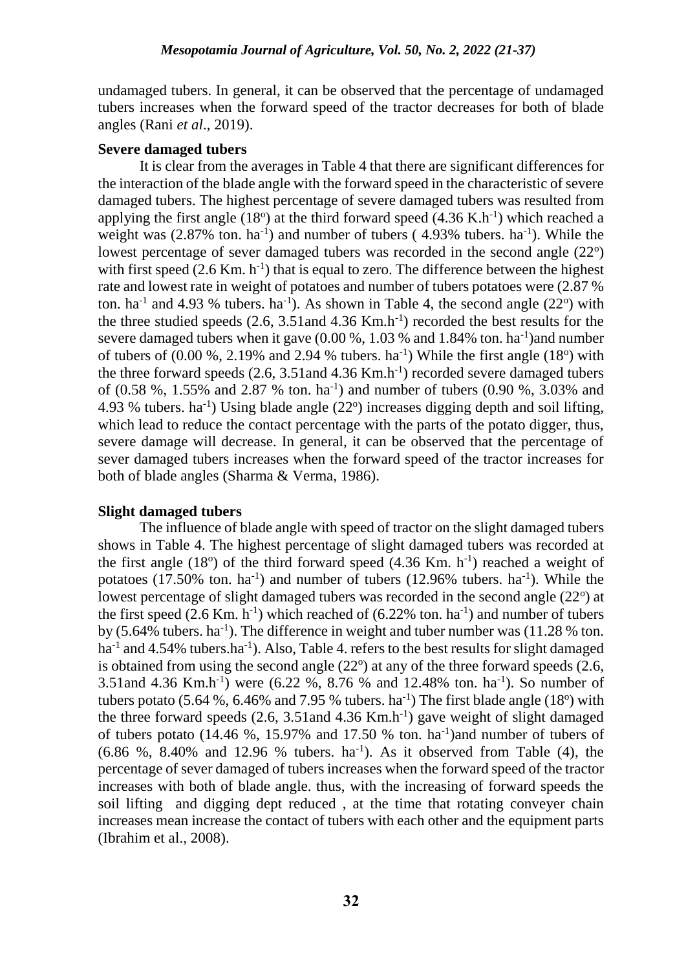undamaged tubers. In general, it can be observed that the percentage of undamaged tubers increases when the forward speed of the tractor decreases for both of blade angles (Rani *et al*., 2019).

# **Severe damaged tubers**

It is clear from the averages in Table 4 that there are significant differences for the interaction of the blade angle with the forward speed in the characteristic of severe damaged tubers. The highest percentage of severe damaged tubers was resulted from applying the first angle  $(18^{\circ})$  at the third forward speed  $(4.36 \text{ K.h}^{-1})$  which reached a weight was  $(2.87\% \text{ ton. ha}^{-1})$  and number of tubers  $(4.93\% \text{ tubers. ha}^{-1})$ . While the lowest percentage of sever damaged tubers was recorded in the second angle (22°) with first speed  $(2.6 \text{ Km. h}^{-1})$  that is equal to zero. The difference between the highest rate and lowest rate in weight of potatoes and number of tubers potatoes were (2.87 % ton. ha<sup>-1</sup> and 4.93 % tubers. ha<sup>-1</sup>). As shown in Table 4, the second angle  $(22^{\circ})$  with the three studied speeds  $(2.6, 3.51$  and  $4.36$  Km.h<sup>-1</sup>) recorded the best results for the severe damaged tubers when it gave  $(0.00\%, 1.03\%$  and  $1.84\%$  ton. ha<sup>-1</sup>) and number of tubers of  $(0.00\%$ , 2.19% and 2.94 % tubers. ha<sup>-1</sup>) While the first angle  $(18^{\circ})$  with the three forward speeds  $(2.6, 3.51$  and  $4.36$  Km.h<sup>-1</sup>) recorded severe damaged tubers of  $(0.58, 0.91, 0.155)$ % and  $(0.87, 0.91, 0.91)$  and number of tubers  $(0.90, 0.91, 0.31)$  and 4.93 % tubers. ha<sup>-1</sup>) Using blade angle  $(22^{\circ})$  increases digging depth and soil lifting, which lead to reduce the contact percentage with the parts of the potato digger, thus, severe damage will decrease. In general, it can be observed that the percentage of sever damaged tubers increases when the forward speed of the tractor increases for both of blade angles (Sharma & Verma, 1986).

# **Slight damaged tubers**

The influence of blade angle with speed of tractor on the slight damaged tubers shows in Table 4. The highest percentage of slight damaged tubers was recorded at the first angle  $(18^{\circ})$  of the third forward speed  $(4.36$  Km. h<sup>-1</sup>) reached a weight of potatoes  $(17.50\% \text{ ton.} \text{ha}^{-1})$  and number of tubers  $(12.96\% \text{ tubers.} \text{ha}^{-1})$ . While the lowest percentage of slight damaged tubers was recorded in the second angle (22°) at the first speed  $(2.6 \text{ Km. h}^{-1})$  which reached of  $(6.22\% \text{ ton. ha}^{-1})$  and number of tubers by  $(5.64\%$  tubers. ha<sup>-1</sup>). The difference in weight and tuber number was  $(11.28\%$  ton. ha<sup>-1</sup> and 4.54% tubers.ha<sup>-1</sup>). Also, Table 4. refers to the best results for slight damaged is obtained from using the second angle  $(22^{\circ})$  at any of the three forward speeds  $(2.6, 1.5)$ 3.51and 4.36 Km.h<sup>-1</sup>) were  $(6.22, 8, 8.76, 8, 10, 12.48, 10.6)$  ton. ha<sup>-1</sup>). So number of tubers potato (5.64 %, 6.46% and 7.95 % tubers. ha<sup>-1</sup>) The first blade angle (18<sup>o</sup>) with the three forward speeds  $(2.6, 3.51$  and  $4.36$  Km.h<sup>-1</sup>) gave weight of slight damaged of tubers potato  $(14.46 \text{ %}, 15.97\text{%}$  and  $17.50 \text{ %}$  ton. ha<sup>-1</sup>)and number of tubers of  $(6.86 \text{ %}, 8.40\% \text{ and } 12.96 \text{ %}$  tubers.  $ha^{-1}$ ). As it observed from Table (4), the percentage of sever damaged of tubers increases when the forward speed of the tractor increases with both of blade angle. thus, with the increasing of forward speeds the soil lifting and digging dept reduced , at the time that rotating conveyer chain increases mean increase the contact of tubers with each other and the equipment parts (Ibrahim et al., 2008).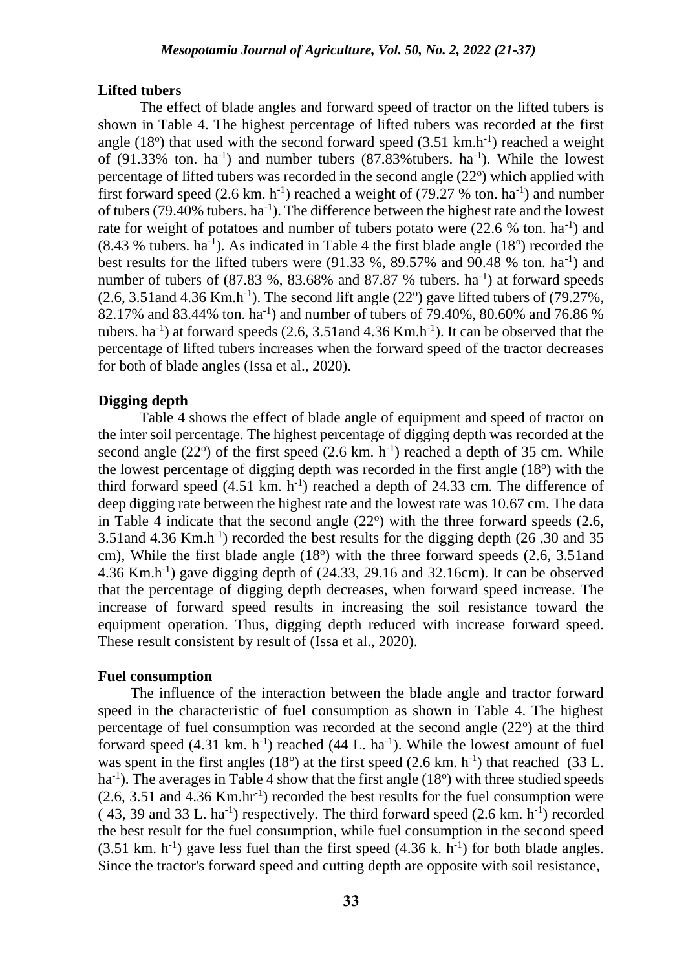## **Lifted tubers**

The effect of blade angles and forward speed of tractor on the lifted tubers is shown in Table 4. The highest percentage of lifted tubers was recorded at the first angle  $(18^{\circ})$  that used with the second forward speed  $(3.51 \text{ km} \cdot \text{h}^{-1})$  reached a weight of  $(91.33\%$  ton. ha<sup>-1</sup>) and number tubers  $(87.83\%$  tubers. ha<sup>-1</sup>). While the lowest percentage of lifted tubers was recorded in the second angle  $(22<sup>o</sup>)$  which applied with first forward speed  $(2.6 \text{ km} \cdot \text{h}^{-1})$  reached a weight of  $(79.27 \text{ % ton} \cdot \text{ha}^{-1})$  and number of tubers (79.40% tubers.  $ha^{-1}$ ). The difference between the highest rate and the lowest rate for weight of potatoes and number of tubers potato were  $(22.6 %$  ton. ha<sup>-1</sup>) and  $(8.43 %$  tubers. ha<sup>-1</sup>). As indicated in Table 4 the first blade angle  $(18°)$  recorded the best results for the lifted tubers were  $(91.33 \%, 89.57\%$  and  $90.48 \%$  ton. ha<sup>-1</sup>) and number of tubers of  $(87.83\%$ ,  $83.68\%$  and  $87.87\%$  tubers. ha<sup>-1</sup>) at forward speeds  $(2.6, 3.51$  and  $4.36$  Km.h<sup>-1</sup>). The second lift angle  $(22^{\circ})$  gave lifted tubers of  $(79.27\%$ , 82.17% and 83.44% ton. ha<sup>-1</sup>) and number of tubers of 79.40%, 80.60% and 76.86 % tubers. ha<sup>-1</sup>) at forward speeds  $(2.6, 3.51$  and  $4.36$  Km.h<sup>-1</sup>). It can be observed that the percentage of lifted tubers increases when the forward speed of the tractor decreases for both of blade angles (Issa et al., 2020).

# **Digging depth**

Table 4 shows the effect of blade angle of equipment and speed of tractor on the inter soil percentage. The highest percentage of digging depth was recorded at the second angle  $(22^{\circ})$  of the first speed  $(2.6 \text{ km. h}^{-1})$  reached a depth of 35 cm. While the lowest percentage of digging depth was recorded in the first angle  $(18<sup>o</sup>)$  with the third forward speed  $(4.51 \text{ km} \cdot \text{h}^{-1})$  reached a depth of 24.33 cm. The difference of deep digging rate between the highest rate and the lowest rate was 10.67 cm. The data in Table 4 indicate that the second angle  $(22^{\circ})$  with the three forward speeds  $(2.6, 1.5)$ 3.51and 4.36 Km.h-1 ) recorded the best results for the digging depth (26 ,30 and 35 cm), While the first blade angle (18°) with the three forward speeds (2.6, 3.51and  $4.36$  Km.h<sup>-1</sup>) gave digging depth of  $(24.33, 29.16)$  and  $32.16$ cm). It can be observed that the percentage of digging depth decreases, when forward speed increase. The increase of forward speed results in increasing the soil resistance toward the equipment operation. Thus, digging depth reduced with increase forward speed. These result consistent by result of (Issa et al., 2020).

### **Fuel consumption**

The influence of the interaction between the blade angle and tractor forward speed in the characteristic of fuel consumption as shown in Table 4. The highest percentage of fuel consumption was recorded at the second angle  $(22<sup>o</sup>)$  at the third forward speed  $(4.31 \text{ km} \cdot \text{h}^{-1})$  reached  $(44 \text{ L} \cdot \text{ha}^{-1})$ . While the lowest amount of fuel was spent in the first angles  $(18^{\circ})$  at the first speed  $(2.6 \text{ km. h}^{-1})$  that reached  $(33 \text{ L}$ . ha<sup>-1</sup>). The averages in Table 4 show that the first angle (18<sup>o</sup>) with three studied speeds (2.6, 3.51 and 4.36 Km.hr-1 ) recorded the best results for the fuel consumption were  $(43, 39 \text{ and } 33 \text{ L} \cdot \text{ha}^{-1})$  respectively. The third forward speed  $(2.6 \text{ km} \cdot \text{h}^{-1})$  recorded the best result for the fuel consumption, while fuel consumption in the second speed  $(3.51 \text{ km. h}^{-1})$  gave less fuel than the first speed  $(4.36 \text{ k. h}^{-1})$  for both blade angles. Since the tractor's forward speed and cutting depth are opposite with soil resistance,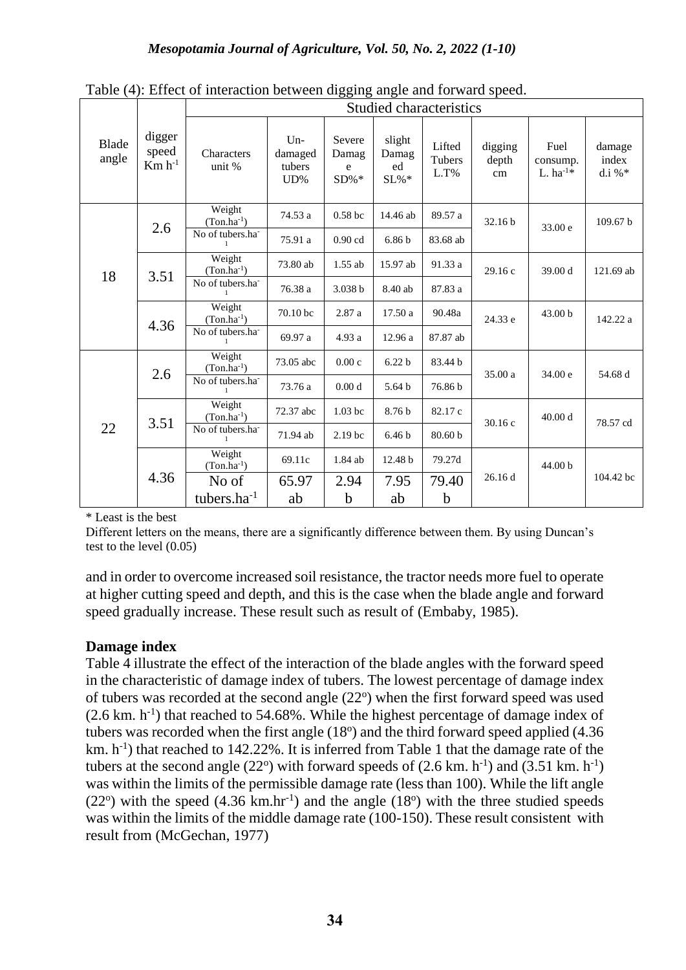|                       |                                | Studied characteristics         |                                   |                                |                              |                          |                        |                                   |                              |  |
|-----------------------|--------------------------------|---------------------------------|-----------------------------------|--------------------------------|------------------------------|--------------------------|------------------------|-----------------------------------|------------------------------|--|
| <b>Blade</b><br>angle | digger<br>speed<br>$Km h^{-1}$ | Characters<br>unit %            | $Un-$<br>damaged<br>tubers<br>UD% | Severe<br>Damag<br>e<br>$SD%*$ | slight<br>Damag<br>ed<br>SL% | Lifted<br>Tubers<br>L.T% | digging<br>depth<br>cm | Fuel<br>consump.<br>L. $ha^{-1*}$ | damage<br>index<br>d.i % $*$ |  |
|                       | 2.6                            | Weight<br>$(Ton.ha^{-1})$       | 74.53 a                           | 0.58 <sub>bc</sub>             | 14.46 ab                     | 89.57 a                  | 32.16 <sub>b</sub>     | 33.00 e                           | 109.67 b                     |  |
|                       |                                | No of tubers.ha                 | 75.91 a                           | $0.90$ cd                      | 6.86 <sub>b</sub>            | 83.68 ab                 |                        |                                   |                              |  |
| 18                    | 3.51                           | Weight<br>$(Ton.ha^{-1})$       | 73.80 ab                          | $1.55$ ab                      | 15.97 ab                     | 91.33 a                  | 29.16c                 | 39.00 d                           | 121.69 ab                    |  |
|                       |                                | No of tubers.ha<br>$\mathbf{1}$ | 76.38 a                           | 3.038 b                        | 8.40 ab                      | 87.83 a                  |                        |                                   |                              |  |
|                       | 4.36                           | Weight<br>$(Ton.ha^{-1})$       | 70.10 bc                          | 2.87 a                         | 17.50 a                      | 90.48a                   | 24.33 e                | 43.00 b                           | 142.22 a                     |  |
|                       |                                | No of tubers.ha                 | 69.97 a                           | 4.93 a                         | 12.96 a                      | 87.87 ab                 |                        |                                   |                              |  |
| 22                    | 2.6                            | Weight<br>$(Ton.ha^{-1})$       | 73.05 abc                         | 0.00c                          | 6.22 <sub>b</sub>            | 83.44 b                  | 35.00 a                | 34.00 e                           | 54.68 d                      |  |
|                       |                                | No of tubers.ha                 | 73.76 a                           | 0.00 <sub>d</sub>              | 5.64 b                       | 76.86b                   |                        |                                   |                              |  |
|                       | 3.51                           | Weight<br>$(Ton.ha^{-1})$       | 72.37 abc                         | $1.03$ bc                      | 8.76 b                       | 82.17 c                  | 30.16c                 | 40.00 d                           | 78.57 cd                     |  |
|                       |                                | No of tubers.ha                 | 71.94 ab                          | 2.19 <sub>bc</sub>             | 6.46 <sub>b</sub>            | 80.60 b                  |                        |                                   |                              |  |
|                       | 4.36                           | Weight<br>$(Ton.ha^{-1})$       | 69.11c                            | 1.84 ab                        | 12.48 b                      | 79.27d                   |                        | 44.00 b                           |                              |  |
|                       |                                | No of                           | 65.97                             | 2.94                           | 7.95                         | 79.40                    | 26.16d                 |                                   | 104.42 bc                    |  |
|                       |                                | tubers.ha <sup>-1</sup>         | ab                                | $\mathbf b$                    | ab                           | $\mathbf b$              |                        |                                   |                              |  |

Table (4): Effect of interaction between digging angle and forward speed.

\* Least is the best

Different letters on the means, there are a significantly difference between them. By using Duncan's test to the level (0.05)

and in order to overcome increased soil resistance, the tractor needs more fuel to operate at higher cutting speed and depth, and this is the case when the blade angle and forward speed gradually increase. These result such as result of (Embaby, 1985).

# **Damage index**

Table 4 illustrate the effect of the interaction of the blade angles with the forward speed in the characteristic of damage index of tubers. The lowest percentage of damage index of tubers was recorded at the second angle (22°) when the first forward speed was used  $(2.6 \text{ km. h}^{-1})$  that reached to 54.68%. While the highest percentage of damage index of tubers was recorded when the first angle  $(18<sup>o</sup>)$  and the third forward speed applied  $(4.36)$ km.  $h^{-1}$ ) that reached to 142.22%. It is inferred from Table 1 that the damage rate of the tubers at the second angle  $(22^{\circ})$  with forward speeds of  $(2.6 \text{ km. h}^{-1})$  and  $(3.51 \text{ km. h}^{-1})$ was within the limits of the permissible damage rate (less than 100). While the lift angle  $(22^{\circ})$  with the speed  $(4.36 \text{ km.hr}^{-1})$  and the angle  $(18^{\circ})$  with the three studied speeds was within the limits of the middle damage rate (100-150). These result consistent with result from (McGechan, 1977)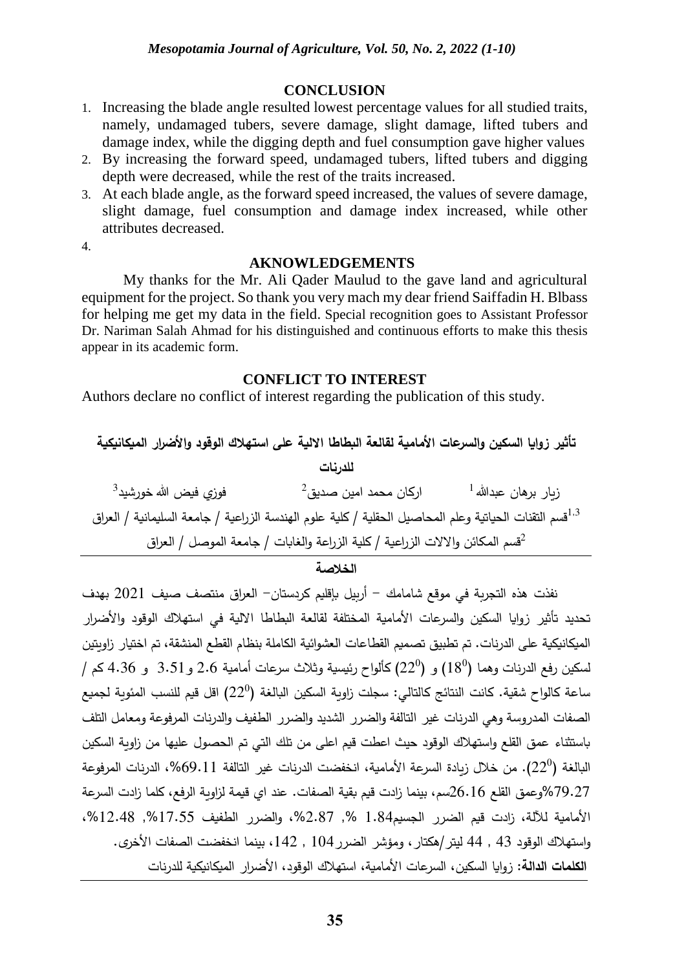#### **CONCLUSION**

- 1. Increasing the blade angle resulted lowest percentage values for all studied traits, namely, undamaged tubers, severe damage, slight damage, lifted tubers and damage index, while the digging depth and fuel consumption gave higher values
- 2. By increasing the forward speed, undamaged tubers, lifted tubers and digging depth were decreased, while the rest of the traits increased.
- 3. At each blade angle, as the forward speed increased, the values of severe damage, slight damage, fuel consumption and damage index increased, while other attributes decreased.

4.

#### **AKNOWLEDGEMENTS**

My thanks for the Mr. Ali Qader Maulud to the gave land and agricultural equipment for the project. So thank you very mach my dear friend Saiffadin H. Blbass for helping me get my data in the field. Special recognition goes to Assistant Professor Dr. Nariman Salah Ahmad for his distinguished and continuous efforts to make this thesis appear in its academic form.

#### **CONFLICT TO INTEREST**

Authors declare no conflict of interest regarding the publication of this study.

**تأثير زوايا السكين والسرعات األمامية لقالعة البطاطا االلية على استهالك الوقود واألضرار الميكانيكية للدرنات** ز يار برهان عبدهللا اركان محمد امين صديق <sup>1</sup> 2 فوزي فيض هللا خورشيد 3 قسم التقنات الحياتية وعلم المحاصيل الحقلية / كلية علوم الهندسة الزراعية / جامعة السليمانية / العراق 1,3 قسم المکائن واالالت الزراعية / کلية الزراعة والغابات / جامعة الموصل / العراق <sup>2</sup>

**الخالصة**

 نفذت هذه التجربة في موقع شامامك - أربيل بإقليم كردستان- العراق منتصف صيف 2021 بهدف تحديد تأثير زوايا السكين والسرعات الأمامية المختلفة لقالعة البطاطا الالية في استهلاك الوقود والأضرار الميكانيكية على الدرنات. تم تطبيق تصميم القطاعات العشوائية الكاملة بنظام القطع المنشقة، تم اختيار زاويتين  $\,$  لسكين رفع الدرنات وهما  $(18^0)$  و  $(22^0)$  كألواح رئيسية وثلاث سرعات أمامية  $2.6$  و  $3.51$  كم  $/$ ساعة كالواح شقية. كانت النتائج كالتالي: سجلت زاوية السكين البالغة  $(22^0)$  اقل قيم للنسب المئوية لجميع الصفات المدروسة وهي الدرنات غير التالفة والضرر الشديد والضرر الطفيف والدرنات المرفوعة ومعامل التلف باستثناء عمق القلع واستهالك الوقود حيث اعطت قيم اعلى من تلك التي تم الحصول عليها من زاوية السكين البالغة (22º). من خلال زيادة السرعة الأمامية، انخفضت الدرنات غير التالفة 69.11%، الدرنات المرفوعة %79.27وعمق القلع 26.16سم، بينما زادت قيم بقية الصفات. عند اي قيمة لزاوية الرفع، كلما زادت السرعة األمامية لآللة، زادت قيم الضرر الجسيم1.84 ,% ،%2.87 والضرر الطفيف ,%17.55 ،%12.48 واستهلاك الوقود 43 , 44 ليتر /هكتار ، ومؤشر الضرر 104 , 142، بينما انخفضت الصفات الأخرى. ا**لكلمات الدالة:** زوايا السكين، السرعات الأمامية، استهلاك الوقود، الأضرار الميكانيكية للدرنات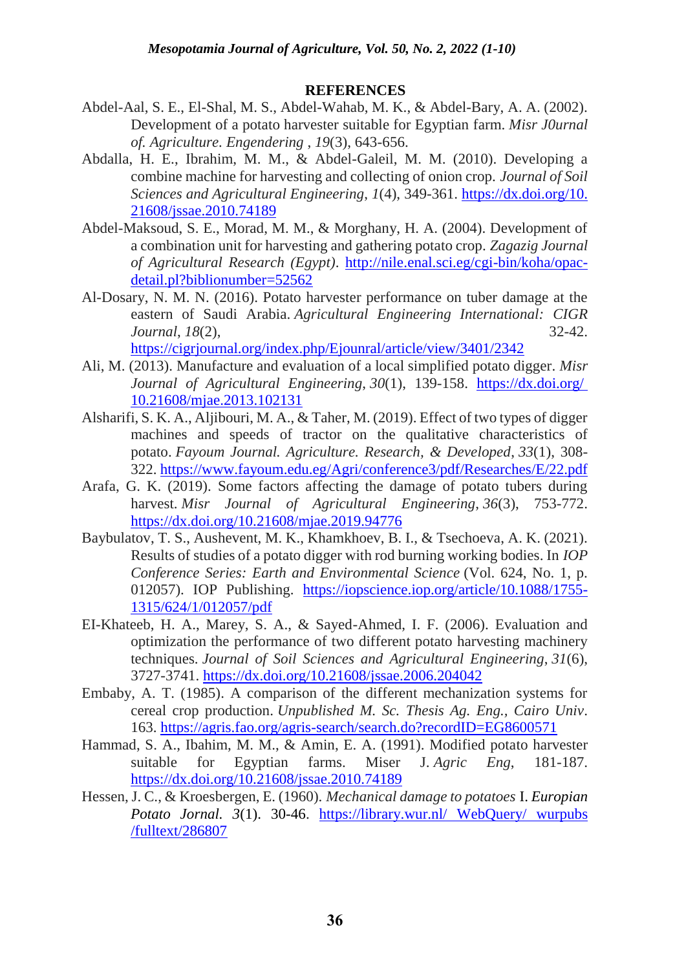# **REFERENCES**

- Abdel-Aal, S. E., El-Shal, M. S., Abdel-Wahab, M. K., & Abdel-Bary, A. A. (2002). Development of a potato harvester suitable for Egyptian farm. *Misr J0urnal of. Agriculture. Engendering* , *19*(3), 643-656.
- Abdalla, H. E., Ibrahim, M. M., & Abdel-Galeil, M. M. (2010). Developing a combine machine for harvesting and collecting of onion crop. *Journal of Soil Sciences and Agricultural Engineering*, *1*(4), 349-361. [https://dx.doi.org/10.](https://dx.doi.org/10.%2021608/jssae.2010.74189)  [21608/jssae.2010.74189](https://dx.doi.org/10.%2021608/jssae.2010.74189)
- Abdel-Maksoud, S. E., Morad, M. M., & Morghany, H. A. (2004). Development of a combination unit for harvesting and gathering potato crop. *Zagazig Journal of Agricultural Research (Egypt)*. [http://nile.enal.sci.eg/cgi-bin/koha/opac](http://nile.enal.sci.eg/cgi-bin/koha/opac-detail.pl?biblionumber=52562)[detail.pl?biblionumber=52562](http://nile.enal.sci.eg/cgi-bin/koha/opac-detail.pl?biblionumber=52562)
- Al-Dosary, N. M. N. (2016). Potato harvester performance on tuber damage at the eastern of Saudi Arabia. *Agricultural Engineering International: CIGR Journal*, *18*(2), 32-42. <https://cigrjournal.org/index.php/Ejounral/article/view/3401/2342>
- Ali, M. (2013). Manufacture and evaluation of a local simplified potato digger. *Misr Journal of Agricultural Engineering*, *30*(1), 139-158. [https://dx.doi.org/](https://dx.doi.org/%2010.21608/mjae.2013.102131) [10.21608/mjae.2013.102131](https://dx.doi.org/%2010.21608/mjae.2013.102131)
- Alsharifi, S. K. A., Aljibouri, M. A., & Taher, M. (2019). Effect of two types of digger machines and speeds of tractor on the qualitative characteristics of potato. *Fayoum Journal. Agriculture. Research, & Developed*, *33*(1), 308- 322.<https://www.fayoum.edu.eg/Agri/conference3/pdf/Researches/E/22.pdf>
- Arafa, G. K. (2019). Some factors affecting the damage of potato tubers during harvest. *Misr Journal of Agricultural Engineering*, *36*(3), 753-772. <https://dx.doi.org/10.21608/mjae.2019.94776>
- Baybulatov, T. S., Aushevent, M. K., Khamkhoev, B. I., & Tsechoeva, A. K. (2021). Results of studies of a potato digger with rod burning working bodies. In *IOP Conference Series: Earth and Environmental Science* (Vol. 624, No. 1, p. 012057). IOP Publishing. [https://iopscience.iop.org/article/10.1088/1755-](https://iopscience.iop.org/article/10.1088/1755-1315/624/1/012057/pdf) [1315/624/1/012057/pdf](https://iopscience.iop.org/article/10.1088/1755-1315/624/1/012057/pdf)
- EI-Khateeb, H. A., Marey, S. A., & Sayed-Ahmed, I. F. (2006). Evaluation and optimization the performance of two different potato harvesting machinery techniques. *Journal of Soil Sciences and Agricultural Engineering*, *31*(6), 3727-3741.<https://dx.doi.org/10.21608/jssae.2006.204042>
- Embaby, A. T. (1985). A comparison of the different mechanization systems for cereal crop production. *Unpublished M. Sc. Thesis Ag. Eng., Cairo Univ*. 163.<https://agris.fao.org/agris-search/search.do?recordID=EG8600571>
- Hammad, S. A., Ibahim, M. M., & Amin, E. A. (1991). Modified potato harvester suitable for Egyptian farms. Miser J. *Agric Eng*, 181-187. <https://dx.doi.org/10.21608/jssae.2010.74189>
- Hessen, J. C., & Kroesbergen, E. (1960). *Mechanical damage to potatoes* I. *Europian Potato Jornal. 3*(1). 30-46. [https://library.wur.nl/](https://library.wur.nl/%20WebQuery/%20wurpubs%20/fulltext/286807) WebQuery/ wurpubs [/fulltext/286807](https://library.wur.nl/%20WebQuery/%20wurpubs%20/fulltext/286807)